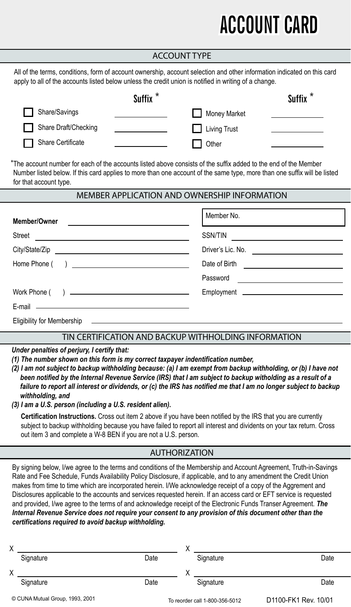## **ACCOUNT CARD**

| <b>ACCOUNT TYPE</b>                                                                                                                                                                                                                                                                                                                                                                                                                                                                                                                                                                                                                                                                                                                                                                                                                                                                 |                                                                  |  |  |  |  |  |
|-------------------------------------------------------------------------------------------------------------------------------------------------------------------------------------------------------------------------------------------------------------------------------------------------------------------------------------------------------------------------------------------------------------------------------------------------------------------------------------------------------------------------------------------------------------------------------------------------------------------------------------------------------------------------------------------------------------------------------------------------------------------------------------------------------------------------------------------------------------------------------------|------------------------------------------------------------------|--|--|--|--|--|
| All of the terms, conditions, form of account ownership, account selection and other information indicated on this card<br>apply to all of the accounts listed below unless the credit union is notified in writing of a change.                                                                                                                                                                                                                                                                                                                                                                                                                                                                                                                                                                                                                                                    |                                                                  |  |  |  |  |  |
| Suffix <sup>*</sup>                                                                                                                                                                                                                                                                                                                                                                                                                                                                                                                                                                                                                                                                                                                                                                                                                                                                 | Suffix <sup>*</sup>                                              |  |  |  |  |  |
| Share/Savings                                                                                                                                                                                                                                                                                                                                                                                                                                                                                                                                                                                                                                                                                                                                                                                                                                                                       | Money Market                                                     |  |  |  |  |  |
| Share Draft/Checking<br><u> 1990 - Johann Barnett, f</u>                                                                                                                                                                                                                                                                                                                                                                                                                                                                                                                                                                                                                                                                                                                                                                                                                            | Living Trust                                                     |  |  |  |  |  |
| <b>Share Certificate</b>                                                                                                                                                                                                                                                                                                                                                                                                                                                                                                                                                                                                                                                                                                                                                                                                                                                            | Other                                                            |  |  |  |  |  |
| *The account number for each of the accounts listed above consists of the suffix added to the end of the Member<br>Number listed below. If this card applies to more than one account of the same type, more than one suffix will be listed<br>for that account type.                                                                                                                                                                                                                                                                                                                                                                                                                                                                                                                                                                                                               |                                                                  |  |  |  |  |  |
| MEMBER APPLICATION AND OWNERSHIP INFORMATION                                                                                                                                                                                                                                                                                                                                                                                                                                                                                                                                                                                                                                                                                                                                                                                                                                        |                                                                  |  |  |  |  |  |
| Member/Owner<br>the control of the control of the control of the control of the control of                                                                                                                                                                                                                                                                                                                                                                                                                                                                                                                                                                                                                                                                                                                                                                                          | Member No.                                                       |  |  |  |  |  |
| Street<br>the control of the control of the control of the control of the control of                                                                                                                                                                                                                                                                                                                                                                                                                                                                                                                                                                                                                                                                                                                                                                                                | SSN/TIN<br><u> 1989 - Andrea Station Barbara, amerikan per</u>   |  |  |  |  |  |
|                                                                                                                                                                                                                                                                                                                                                                                                                                                                                                                                                                                                                                                                                                                                                                                                                                                                                     |                                                                  |  |  |  |  |  |
|                                                                                                                                                                                                                                                                                                                                                                                                                                                                                                                                                                                                                                                                                                                                                                                                                                                                                     | Date of Birth<br>the contract of the contract of the contract of |  |  |  |  |  |
|                                                                                                                                                                                                                                                                                                                                                                                                                                                                                                                                                                                                                                                                                                                                                                                                                                                                                     | Password<br>the control of the control of the control of the     |  |  |  |  |  |
|                                                                                                                                                                                                                                                                                                                                                                                                                                                                                                                                                                                                                                                                                                                                                                                                                                                                                     |                                                                  |  |  |  |  |  |
| <u> 1989 - Johann Harry Harry Harry Harry Harry Harry Harry Harry Harry Harry Harry Harry Harry Harry Harry Harry</u><br>E-mail —                                                                                                                                                                                                                                                                                                                                                                                                                                                                                                                                                                                                                                                                                                                                                   |                                                                  |  |  |  |  |  |
| Eligibility for Membership                                                                                                                                                                                                                                                                                                                                                                                                                                                                                                                                                                                                                                                                                                                                                                                                                                                          |                                                                  |  |  |  |  |  |
| TIN CERTIFICATION AND BACKUP WITHHOLDING INFORMATION                                                                                                                                                                                                                                                                                                                                                                                                                                                                                                                                                                                                                                                                                                                                                                                                                                |                                                                  |  |  |  |  |  |
| Under penalties of perjury, I certify that:<br>(1) The number shown on this form is my correct taxpayer indentification number,<br>(2) I am not subject to backup withholding because: (a) I am exempt from backup withholding, or (b) I have not<br>been notified by the Internal Revenue Service (IRS) that I am subject to backup witholding as a result of a<br>failure to report all interest or dividends, or (c) the IRS has notified me that I am no longer subject to backup<br>withholding, and<br>(3) I am a U.S. person (including a U.S. resident alien).<br>Certification Instructions. Cross out item 2 above if you have been notified by the IRS that you are currently<br>subject to backup withholding because you have failed to report all interest and dividents on your tax return. Cross<br>out item 3 and complete a W-8 BEN if you are not a U.S. person. |                                                                  |  |  |  |  |  |
| <b>AUTHORIZATION</b>                                                                                                                                                                                                                                                                                                                                                                                                                                                                                                                                                                                                                                                                                                                                                                                                                                                                |                                                                  |  |  |  |  |  |
| By signing below, I/we agree to the terms and conditions of the Membership and Account Agreement, Truth-in-Savings<br>Rate and Fee Schedule, Funds Availability Policy Disclosure, if applicable, and to any amendment the Credit Union<br>makes from time to time which are incorporated herein. I/We acknowledge receipt of a copy of the Aggrement and<br>Disclosures applicable to the accounts and services requested herein. If an access card or EFT service is requested<br>and provided, I/we agree to the terms of and acknowledge receipt of the Electronic Funds Transer Agreement. The<br>Internal Revenue Service does not require your consent to any provision of this document other than the<br>certifications required to avoid backup withholding.                                                                                                              |                                                                  |  |  |  |  |  |

Ξ

٦

Ξ

| Χ |                                 |      |                                |                      |
|---|---------------------------------|------|--------------------------------|----------------------|
|   | Signature                       | Date | Signature                      | Date                 |
| Χ |                                 |      |                                |                      |
|   | Signature                       | Date | Signature                      | Date                 |
|   | © CUNA Mutual Group, 1993, 2001 |      | To reorder call 1-800-356-5012 | D1100-FK1 Rev. 10/01 |